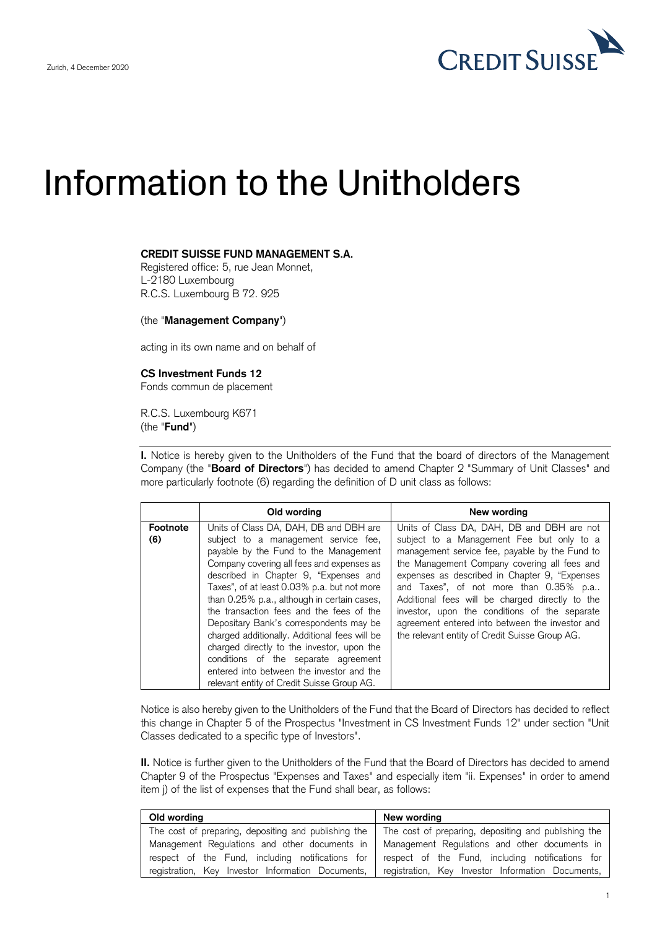

## Information to the Unitholders

## **CREDIT SUISSE FUND MANAGEMENT S.A.**

Registered office: 5, rue Jean Monnet, L-2180 Luxembourg R.C.S. Luxembourg B 72. 925

(the "**Management Company**")

acting in its own name and on behalf of

## **CS Investment Funds 12**

Fonds commun de placement

R.C.S. Luxembourg K671 (the "**Fund**")

 **I.** Notice is hereby given to the Unitholders of the Fund that the board of directors of the Management Company (the "**Board of Directors**") has decided to amend Chapter 2 "Summary of Unit Classes" and more particularly footnote (6) regarding the definition of D unit class as follows:

|                 | Old wording                                                                                                                                                                                                                                                                                                                                                                                                                                                                                                                                                                                                                          | New wording                                                                                                                                                                                                                                                                                                                                                                                                                                                                                    |
|-----------------|--------------------------------------------------------------------------------------------------------------------------------------------------------------------------------------------------------------------------------------------------------------------------------------------------------------------------------------------------------------------------------------------------------------------------------------------------------------------------------------------------------------------------------------------------------------------------------------------------------------------------------------|------------------------------------------------------------------------------------------------------------------------------------------------------------------------------------------------------------------------------------------------------------------------------------------------------------------------------------------------------------------------------------------------------------------------------------------------------------------------------------------------|
| Footnote<br>(6) | Units of Class DA, DAH, DB and DBH are<br>subject to a management service fee,<br>payable by the Fund to the Management<br>Company covering all fees and expenses as<br>described in Chapter 9, "Expenses and<br>Taxes", of at least 0.03% p.a. but not more<br>than 0.25% p.a., although in certain cases,<br>the transaction fees and the fees of the<br>Depositary Bank's correspondents may be<br>charged additionally. Additional fees will be<br>charged directly to the investor, upon the<br>conditions of the separate agreement<br>entered into between the investor and the<br>relevant entity of Credit Suisse Group AG. | Units of Class DA, DAH, DB and DBH are not<br>subject to a Management Fee but only to a<br>management service fee, payable by the Fund to<br>the Management Company covering all fees and<br>expenses as described in Chapter 9, "Expenses"<br>and Taxes", of not more than 0.35% p.a<br>Additional fees will be charged directly to the<br>investor, upon the conditions of the separate<br>agreement entered into between the investor and<br>the relevant entity of Credit Suisse Group AG. |

 Notice is also hereby given to the Unitholders of the Fund that the Board of Directors has decided to reflect this change in Chapter 5 of the Prospectus "Investment in CS Investment Funds 12" under section "Unit Classes dedicated to a specific type of Investors".

 **II.** Notice is further given to the Unitholders of the Fund that the Board of Directors has decided to amend Chapter 9 of the Prospectus "Expenses and Taxes" and especially item "ii. Expenses" in order to amend item j) of the list of expenses that the Fund shall bear, as follows:

| Old wording                                          | New wording                                          |
|------------------------------------------------------|------------------------------------------------------|
| The cost of preparing, depositing and publishing the | The cost of preparing, depositing and publishing the |
| Management Regulations and other documents in        | Management Regulations and other documents in        |
| respect of the Fund, including notifications for     | respect of the Fund, including notifications for     |
| registration, Key Investor Information Documents,    | registration, Key Investor Information Documents,    |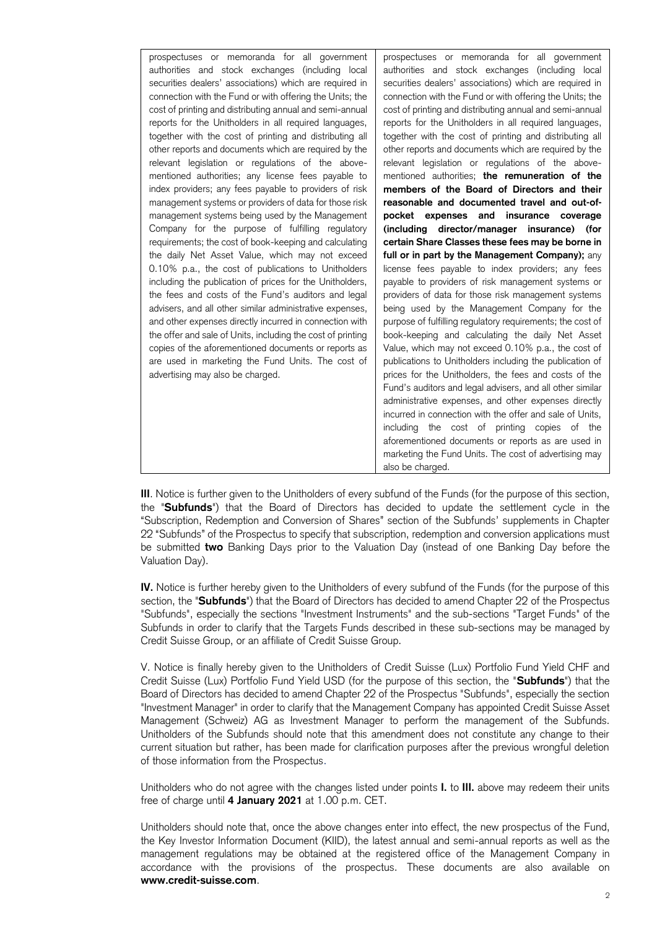| prospectuses or memoranda for all government<br>authorities and stock exchanges (including local<br>securities dealers' associations) which are required in<br>connection with the Fund or with offering the Units; the<br>cost of printing and distributing annual and semi-annual<br>reports for the Unitholders in all required languages,<br>together with the cost of printing and distributing all<br>other reports and documents which are required by the<br>relevant legislation or regulations of the above-<br>mentioned authorities; any license fees payable to<br>index providers; any fees payable to providers of risk<br>management systems or providers of data for those risk<br>management systems being used by the Management<br>Company for the purpose of fulfilling regulatory<br>requirements; the cost of book-keeping and calculating<br>the daily Net Asset Value, which may not exceed | prospectuses or memoranda for all government<br>authorities and stock exchanges (including local<br>securities dealers' associations) which are required in<br>connection with the Fund or with offering the Units; the<br>cost of printing and distributing annual and semi-annual<br>reports for the Unitholders in all required languages,<br>together with the cost of printing and distributing all<br>other reports and documents which are required by the<br>relevant legislation or regulations of the above-<br>mentioned authorities; the remuneration of the<br>members of the Board of Directors and their<br>reasonable and documented travel and out-of-<br>pocket expenses and insurance coverage<br>(including director/manager insurance) (for<br>certain Share Classes these fees may be borne in<br>full or in part by the Management Company); any |
|----------------------------------------------------------------------------------------------------------------------------------------------------------------------------------------------------------------------------------------------------------------------------------------------------------------------------------------------------------------------------------------------------------------------------------------------------------------------------------------------------------------------------------------------------------------------------------------------------------------------------------------------------------------------------------------------------------------------------------------------------------------------------------------------------------------------------------------------------------------------------------------------------------------------|-------------------------------------------------------------------------------------------------------------------------------------------------------------------------------------------------------------------------------------------------------------------------------------------------------------------------------------------------------------------------------------------------------------------------------------------------------------------------------------------------------------------------------------------------------------------------------------------------------------------------------------------------------------------------------------------------------------------------------------------------------------------------------------------------------------------------------------------------------------------------|
| 0.10% p.a., the cost of publications to Unitholders<br>including the publication of prices for the Unitholders,<br>the fees and costs of the Fund's auditors and legal<br>advisers, and all other similar administrative expenses,<br>and other expenses directly incurred in connection with<br>the offer and sale of Units, including the cost of printing<br>copies of the aforementioned documents or reports as<br>are used in marketing the Fund Units. The cost of<br>advertising may also be charged.                                                                                                                                                                                                                                                                                                                                                                                                        | license fees payable to index providers; any fees<br>payable to providers of risk management systems or<br>providers of data for those risk management systems<br>being used by the Management Company for the<br>purpose of fulfilling regulatory requirements; the cost of<br>book-keeping and calculating the daily Net Asset<br>Value, which may not exceed 0.10% p.a., the cost of<br>publications to Unitholders including the publication of<br>prices for the Unitholders, the fees and costs of the<br>Fund's auditors and legal advisers, and all other similar<br>administrative expenses, and other expenses directly<br>incurred in connection with the offer and sale of Units,<br>including the cost of printing copies of the<br>aforementioned documents or reports as are used in                                                                     |
|                                                                                                                                                                                                                                                                                                                                                                                                                                                                                                                                                                                                                                                                                                                                                                                                                                                                                                                      | marketing the Fund Units. The cost of advertising may<br>also be charged.                                                                                                                                                                                                                                                                                                                                                                                                                                                                                                                                                                                                                                                                                                                                                                                               |

 **III**. Notice is further given to the Unitholders of every subfund of the Funds (for the purpose of this section, the "**Subfunds**") that the Board of Directors has decided to update the settlement cycle in the "Subscription, Redemption and Conversion of Shares" section of the Subfunds' supplements in Chapter 22 "Subfunds" of the Prospectus to specify that subscription, redemption and conversion applications must be submitted **two** Banking Days prior to the Valuation Day (instead of one Banking Day before the Valuation Day).

 **IV.** Notice is further hereby given to the Unitholders of every subfund of the Funds (for the purpose of this section, the "**Subfunds**") that the Board of Directors has decided to amend Chapter 22 of the Prospectus "Subfunds", especially the sections "Investment Instruments" and the sub-sections "Target Funds" of the Subfunds in order to clarify that the Targets Funds described in these sub-sections may be managed by Credit Suisse Group, or an affiliate of Credit Suisse Group.

 V. Notice is finally hereby given to the Unitholders of Credit Suisse (Lux) Portfolio Fund Yield CHF and Credit Suisse (Lux) Portfolio Fund Yield USD (for the purpose of this section, the "**Subfunds**") that the Board of Directors has decided to amend Chapter 22 of the Prospectus "Subfunds", especially the section "Investment Manager" in order to clarify that the Management Company has appointed Credit Suisse Asset Management (Schweiz) AG as Investment Manager to perform the management of the Subfunds. Unitholders of the Subfunds should note that this amendment does not constitute any change to their current situation but rather, has been made for clarification purposes after the previous wrongful deletion of those information from the Prospectus.

 Unitholders who do not agree with the changes listed under points **I.** to **III.** above may redeem their units free of charge until **4 January 2021** at 1.00 p.m. CET.

 Unitholders should note that, once the above changes enter into effect, the new prospectus of the Fund, the Key Investor Information Document (KIID), the latest annual and semi-annual reports as well as the management regulations may be obtained at the registered office of the Management Company in accordance with the provisions of the prospectus. These documents are also available on **www.credit-suisse.com**.